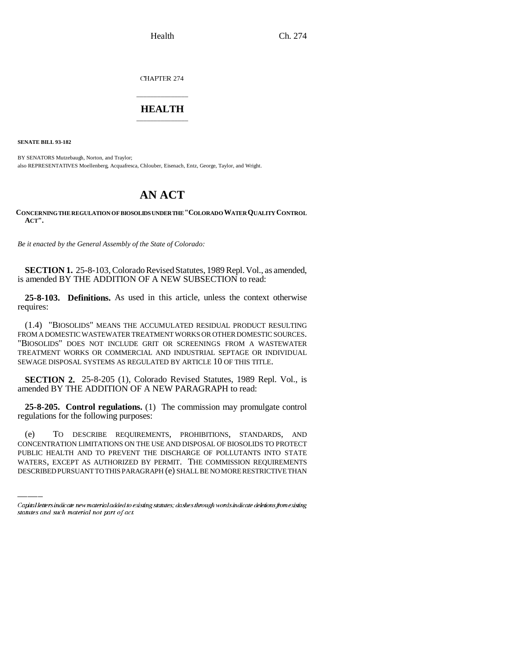CHAPTER 274

## \_\_\_\_\_\_\_\_\_\_\_\_\_\_\_ **HEALTH** \_\_\_\_\_\_\_\_\_\_\_\_\_\_\_

**SENATE BILL 93-182**

BY SENATORS Mutzebaugh, Norton, and Traylor; also REPRESENTATIVES Moellenberg, Acquafresca, Chlouber, Eisenach, Entz, George, Taylor, and Wright.

## **AN ACT**

**CONCERNING THE REGULATION OF BIOSOLIDS UNDER THE "COLORADO WATER QUALITY CONTROL ACT".**

*Be it enacted by the General Assembly of the State of Colorado:*

**SECTION 1.** 25-8-103, Colorado Revised Statutes, 1989 Repl. Vol., as amended, is amended BY THE ADDITION OF A NEW SUBSECTION to read:

**25-8-103. Definitions.** As used in this article, unless the context otherwise requires:

(1.4) "BIOSOLIDS" MEANS THE ACCUMULATED RESIDUAL PRODUCT RESULTING FROM A DOMESTIC WASTEWATER TREATMENT WORKS OR OTHER DOMESTIC SOURCES. "BIOSOLIDS" DOES NOT INCLUDE GRIT OR SCREENINGS FROM A WASTEWATER TREATMENT WORKS OR COMMERCIAL AND INDUSTRIAL SEPTAGE OR INDIVIDUAL SEWAGE DISPOSAL SYSTEMS AS REGULATED BY ARTICLE 10 OF THIS TITLE.

**SECTION 2.** 25-8-205 (1), Colorado Revised Statutes, 1989 Repl. Vol., is amended BY THE ADDITION OF A NEW PARAGRAPH to read:

**25-8-205. Control regulations.** (1) The commission may promulgate control regulations for the following purposes:

 $(e)$ TO DESCRIBE REQUIREMENTS, PROHIBITIONS, STANDARDS, AND CONCENTRATION LIMITATIONS ON THE USE AND DISPOSAL OF BIOSOLIDS TO PROTECT PUBLIC HEALTH AND TO PREVENT THE DISCHARGE OF POLLUTANTS INTO STATE WATERS, EXCEPT AS AUTHORIZED BY PERMIT. THE COMMISSION REQUIREMENTS DESCRIBED PURSUANT TO THIS PARAGRAPH (e) SHALL BE NO MORE RESTRICTIVE THAN

Capital letters indicate new material added to existing statutes; dashes through words indicate deletions from existing statutes and such material not part of act.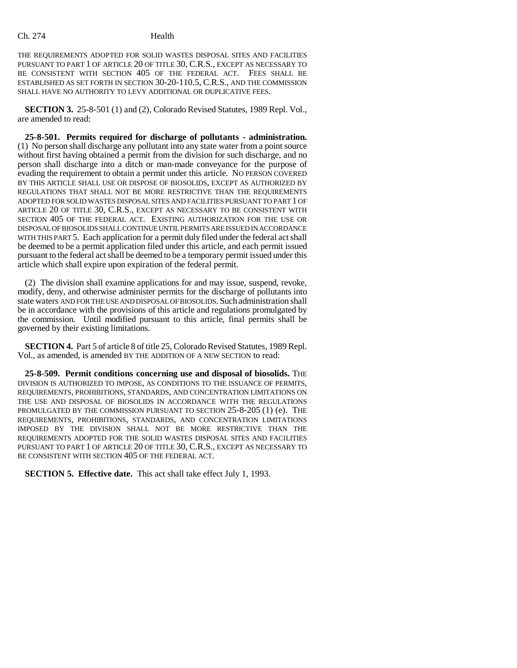THE REQUIREMENTS ADOPTED FOR SOLID WASTES DISPOSAL SITES AND FACILITIES PURSUANT TO PART 1 OF ARTICLE 20 OF TITLE 30, C.R.S., EXCEPT AS NECESSARY TO BE CONSISTENT WITH SECTION 405 OF THE FEDERAL ACT. FEES SHALL BE ESTABLISHED AS SET FORTH IN SECTION 30-20-110.5, C.R.S., AND THE COMMISSION SHALL HAVE NO AUTHORITY TO LEVY ADDITIONAL OR DUPLICATIVE FEES.

**SECTION 3.** 25-8-501 (1) and (2), Colorado Revised Statutes, 1989 Repl. Vol., are amended to read:

**25-8-501. Permits required for discharge of pollutants - administration.** (1) No person shall discharge any pollutant into any state water from a point source without first having obtained a permit from the division for such discharge, and no person shall discharge into a ditch or man-made conveyance for the purpose of evading the requirement to obtain a permit under this article. NO PERSON COVERED BY THIS ARTICLE SHALL USE OR DISPOSE OF BIOSOLIDS, EXCEPT AS AUTHORIZED BY REGULATIONS THAT SHALL NOT BE MORE RESTRICTIVE THAN THE REQUIREMENTS ADOPTED FOR SOLID WASTES DISPOSAL SITES AND FACILITIES PURSUANT TO PART 1 OF ARTICLE 20 OF TITLE 30, C.R.S., EXCEPT AS NECESSARY TO BE CONSISTENT WITH SECTION 405 OF THE FEDERAL ACT. EXISTING AUTHORIZATION FOR THE USE OR DISPOSAL OF BIOSOLIDS SHALL CONTINUE UNTIL PERMITS ARE ISSUED IN ACCORDANCE WITH THIS PART 5. Each application for a permit duly filed under the federal act shall be deemed to be a permit application filed under this article, and each permit issued pursuant to the federal act shall be deemed to be a temporary permit issued under this article which shall expire upon expiration of the federal permit.

(2) The division shall examine applications for and may issue, suspend, revoke, modify, deny, and otherwise administer permits for the discharge of pollutants into state waters AND FOR THE USE AND DISPOSAL OF BIOSOLIDS. Such administration shall be in accordance with the provisions of this article and regulations promulgated by the commission. Until modified pursuant to this article, final permits shall be governed by their existing limitations.

**SECTION 4.** Part 5 of article 8 of title 25, Colorado Revised Statutes, 1989 Repl. Vol., as amended, is amended BY THE ADDITION OF A NEW SECTION to read:

**25-8-509. Permit conditions concerning use and disposal of biosolids.** THE DIVISION IS AUTHORIZED TO IMPOSE, AS CONDITIONS TO THE ISSUANCE OF PERMITS, REQUIREMENTS, PROHIBITIONS, STANDARDS, AND CONCENTRATION LIMITATIONS ON THE USE AND DISPOSAL OF BIOSOLIDS IN ACCORDANCE WITH THE REGULATIONS PROMULGATED BY THE COMMISSION PURSUANT TO SECTION 25-8-205 (1) (e). THE REQUIREMENTS, PROHIBITIONS, STANDARDS, AND CONCENTRATION LIMITATIONS IMPOSED BY THE DIVISION SHALL NOT BE MORE RESTRICTIVE THAN THE REQUIREMENTS ADOPTED FOR THE SOLID WASTES DISPOSAL SITES AND FACILITIES PURSUANT TO PART 1 OF ARTICLE 20 OF TITLE 30, C.R.S., EXCEPT AS NECESSARY TO BE CONSISTENT WITH SECTION 405 OF THE FEDERAL ACT.

**SECTION 5. Effective date.** This act shall take effect July 1, 1993.